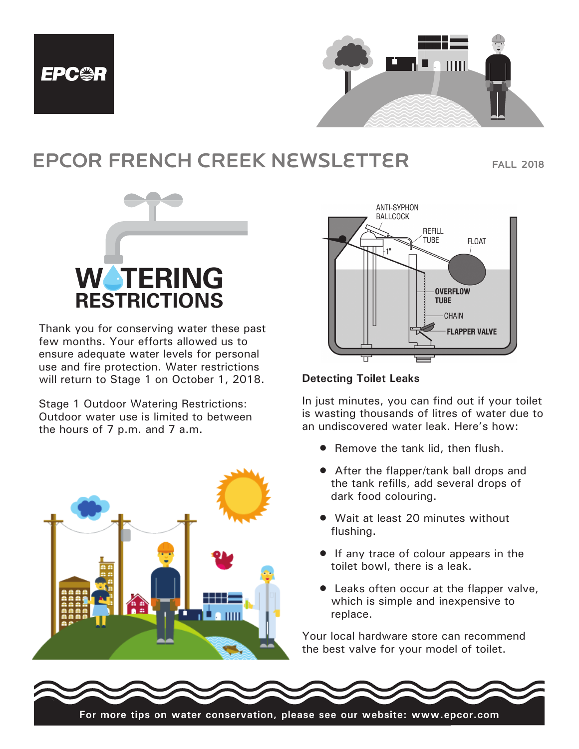



# EPCOR FRENCH CREEK NEWSLETTER FALL 2018



Thank you for conserving water these past few months. Your efforts allowed us to **June 1 – September 30, 2011** ensure adequate water levels for personal ensure adequate water levels for personal<br>use and fire protection. Water restrictions will return to Stage 1 on October 1, 2018. nd fire protection. Water restric

Stage 1 Outdoor Watering Restrictions: Stage 1 Outdoor Watering Restrictions:<br>Outdoor water use is limited to between the hours of  $7$  p.m. and  $7$  a.m. outdoor water use is considered in ensuring our constant  $\mathcal{L}$ Stage 1 Outdoor Watering Restrictions: **Odd numbered:** Water on Thursday and Sunday ours of 7 p.m. and 7 a.m.





## **Detecting Toilet Leaks**

In just minutes, you can find out if your toilet is wasting thousands of litres of water due to an undiscovered water leak. Here's how:

- Remove the tank lid, then flush.
- After the flapper/tank ball drops and the tank refills, add several drops of dark food colouring.
- Wait at least 20 minutes without flushing.
- If any trace of colour appears in the toilet bowl, there is a leak.
- replace. • Leaks often occur at the flapper valve, which is simple and inexpensive to

Your local hardware store can recommend the best valve for your model of toilet.